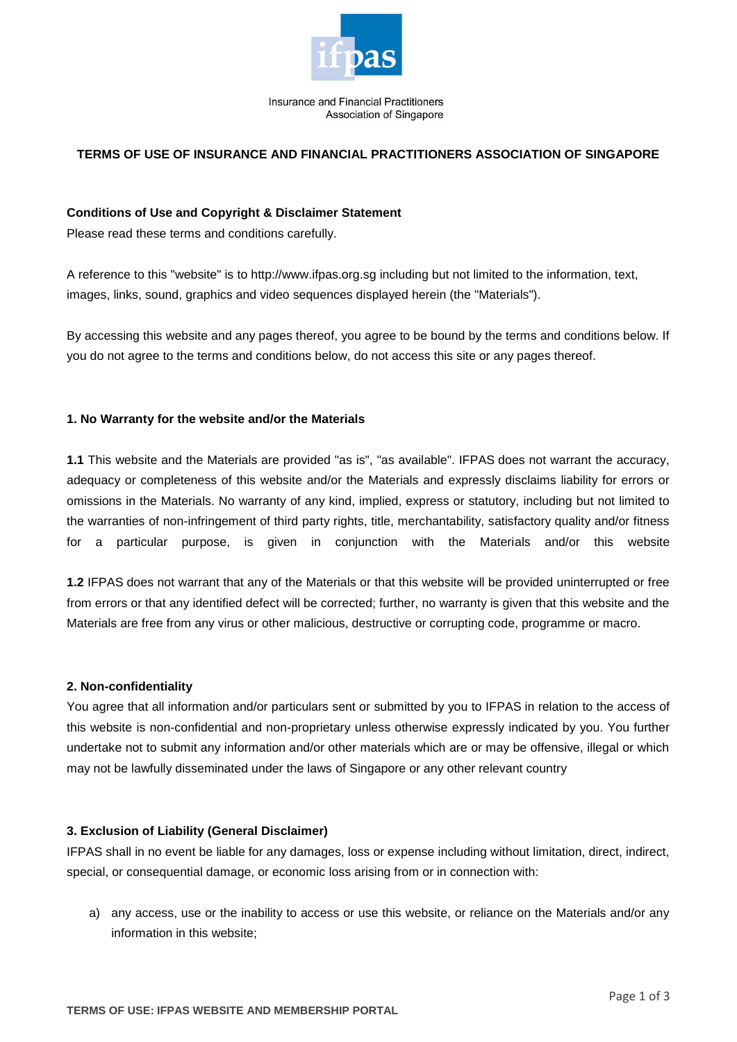

Insurance and Financial Practitioners Association of Singapore

# **TERMS OF USE OF INSURANCE AND FINANCIAL PRACTITIONERS ASSOCIATION OF SINGAPORE**

## **Conditions of Use and Copyright & Disclaimer Statement**

Please read these terms and conditions carefully.

A reference to this "website" is to [http://www.ifpas.org.sg](http://www.ifpas.org.sg/) including but not limited to the information, text, images, links, sound, graphics and video sequences displayed herein (the "Materials").

By accessing this website and any pages thereof, you agree to be bound by the terms and conditions below. If you do not agree to the terms and conditions below, do not access this site or any pages thereof.

## **1. No Warranty for the website and/or the Materials**

**1.1** This website and the Materials are provided "as is", "as available". IFPAS does not warrant the accuracy, adequacy or completeness of this website and/or the Materials and expressly disclaims liability for errors or omissions in the Materials. No warranty of any kind, implied, express or statutory, including but not limited to the warranties of non-infringement of third party rights, title, merchantability, satisfactory quality and/or fitness for a particular purpose, is given in conjunction with the Materials and/or this website

**1.2** IFPAS does not warrant that any of the Materials or that this website will be provided uninterrupted or free from errors or that any identified defect will be corrected; further, no warranty is given that this website and the Materials are free from any virus or other malicious, destructive or corrupting code, programme or macro.

## **2. Non-confidentiality**

You agree that all information and/or particulars sent or submitted by you to IFPAS in relation to the access of this website is non-confidential and non-proprietary unless otherwise expressly indicated by you. You further undertake not to submit any information and/or other materials which are or may be offensive, illegal or which may not be lawfully disseminated under the laws of Singapore or any other relevant country

## **3. Exclusion of Liability (General Disclaimer)**

IFPAS shall in no event be liable for any damages, loss or expense including without limitation, direct, indirect, special, or consequential damage, or economic loss arising from or in connection with:

a) any access, use or the inability to access or use this website, or reliance on the Materials and/or any information in this website;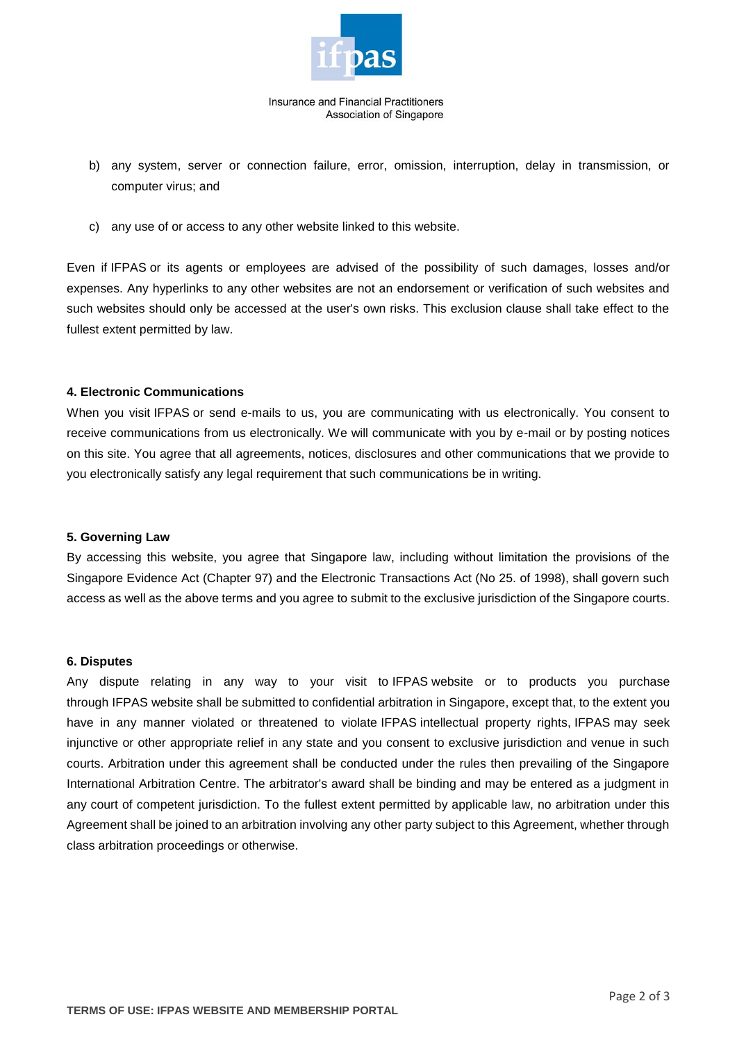

Insurance and Financial Practitioners Association of Singapore

- b) any system, server or connection failure, error, omission, interruption, delay in transmission, or computer virus; and
- c) any use of or access to any other website linked to this website.

Even if IFPAS or its agents or employees are advised of the possibility of such damages, losses and/or expenses. Any hyperlinks to any other websites are not an endorsement or verification of such websites and such websites should only be accessed at the user's own risks. This exclusion clause shall take effect to the fullest extent permitted by law.

#### **4. Electronic Communications**

When you visit IFPAS or send e-mails to us, you are communicating with us electronically. You consent to receive communications from us electronically. We will communicate with you by e-mail or by posting notices on this site. You agree that all agreements, notices, disclosures and other communications that we provide to you electronically satisfy any legal requirement that such communications be in writing.

#### **5. Governing Law**

By accessing this website, you agree that Singapore law, including without limitation the provisions of the Singapore Evidence Act (Chapter 97) and the Electronic Transactions Act (No 25. of 1998), shall govern such access as well as the above terms and you agree to submit to the exclusive jurisdiction of the Singapore courts.

#### **6. Disputes**

Any dispute relating in any way to your visit to IFPAS website or to products you purchase through IFPAS website shall be submitted to confidential arbitration in Singapore, except that, to the extent you have in any manner violated or threatened to violate IFPAS intellectual property rights, IFPAS may seek injunctive or other appropriate relief in any state and you consent to exclusive jurisdiction and venue in such courts. Arbitration under this agreement shall be conducted under the rules then prevailing of the Singapore International Arbitration Centre. The arbitrator's award shall be binding and may be entered as a judgment in any court of competent jurisdiction. To the fullest extent permitted by applicable law, no arbitration under this Agreement shall be joined to an arbitration involving any other party subject to this Agreement, whether through class arbitration proceedings or otherwise.